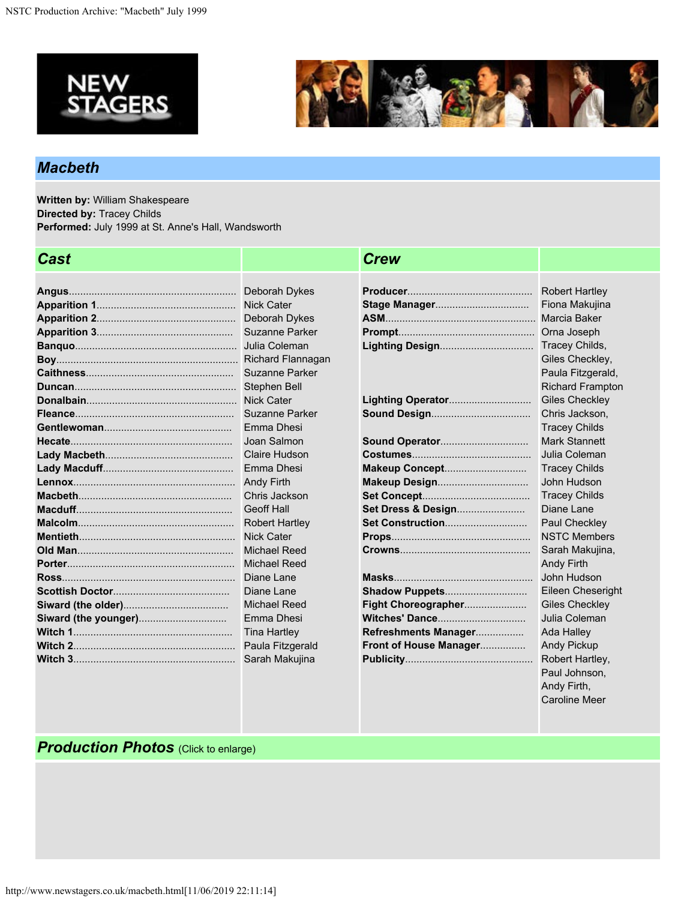



Caroline Meer

## *Macbeth*

**Written by:** William Shakespeare **Directed by:** Tracey Childs **Performed:** July 1999 at St. Anne's Hall, Wandsworth

| Cast |                          | <b>Crew</b>            |                         |
|------|--------------------------|------------------------|-------------------------|
|      |                          |                        |                         |
|      | Deborah Dykes            |                        | <b>Robert Hartley</b>   |
|      |                          |                        | Fiona Makujina          |
|      | Deborah Dykes            |                        | <b>Marcia Baker</b>     |
|      | <b>Suzanne Parker</b>    |                        | Orna Joseph             |
|      |                          |                        | Tracey Childs,          |
|      | <b>Richard Flannagan</b> |                        | Giles Checkley,         |
|      | <b>Suzanne Parker</b>    |                        | Paula Fitzgerald,       |
|      | Stephen Bell             |                        | <b>Richard Frampton</b> |
|      | <b>Nick Cater</b>        |                        | <b>Giles Checkley</b>   |
|      | Suzanne Parker           | <b>Sound Design</b>    | Chris Jackson,          |
|      | Emma Dhesi               |                        | <b>Tracey Childs</b>    |
|      | Joan Salmon              |                        | <b>Mark Stannett</b>    |
|      | <b>Claire Hudson</b>     |                        | Julia Coleman           |
|      | Emma Dhesi               | Makeup Concept         | <b>Tracey Childs</b>    |
|      | <b>Andy Firth</b>        |                        | John Hudson             |
|      | Chris Jackson            |                        | <b>Tracey Childs</b>    |
|      | <b>Geoff Hall</b>        | Set Dress & Design     | Diane Lane              |
|      | <b>Robert Hartley</b>    | Set Construction       | Paul Checkley           |
|      | <b>Nick Cater</b>        |                        | <b>NSTC Members</b>     |
|      | <b>Michael Reed</b>      |                        | Sarah Makujina,         |
|      | <b>Michael Reed</b>      |                        | <b>Andy Firth</b>       |
|      | Diane Lane               |                        | John Hudson             |
|      | Diane Lane               | Shadow Puppets         | Eileen Cheseright       |
|      | <b>Michael Reed</b>      | Fight Choreographer    | <b>Giles Checkley</b>   |
|      | Emma Dhesi               | Witches' Dance         | Julia Coleman           |
|      | <b>Tina Hartley</b>      | Refreshments Manager   | Ada Halley              |
|      | Paula Fitzgerald         | Front of House Manager | <b>Andy Pickup</b>      |
|      | Sarah Makujina           |                        | Robert Hartley,         |
|      |                          |                        | Paul Johnson,           |
|      |                          |                        | Andy Firth,             |

## *Production Photos (Click to enlarge)*